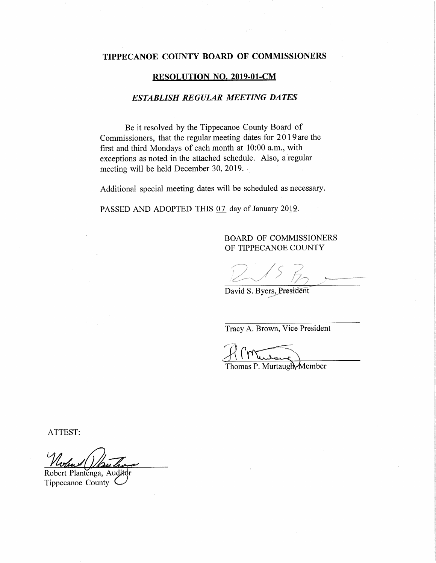## TIPPECANOE COUNTY BOARD OF COMMISSIONERS

#### **RESOLUTION NO. 2019-01-CM**

### **ESTABLISH REGULAR MEETING DATES**

Be it resolved by the Tippecanoe County Board of Commissioners, that the regular meeting dates for 2019are the first and third Mondays of each month at 10:00 a.m., with exceptions as noted in the attached schedule. Also, a regular meeting will be held December 30, 2019.

Additional special meeting dates will be scheduled as necessary.

PASSED AND ADOPTED THIS 07 day of January 2019.

#### **BOARD OF COMMISSIONERS** OF TIPPECANOE COUNTY

David S. Byers, President

Tracy A. Brown, Vice President

Thomas P. Murtaugh Member

ATTEST:

Robert Plantenga, Aud Tippecanoe County<sup>1</sup>